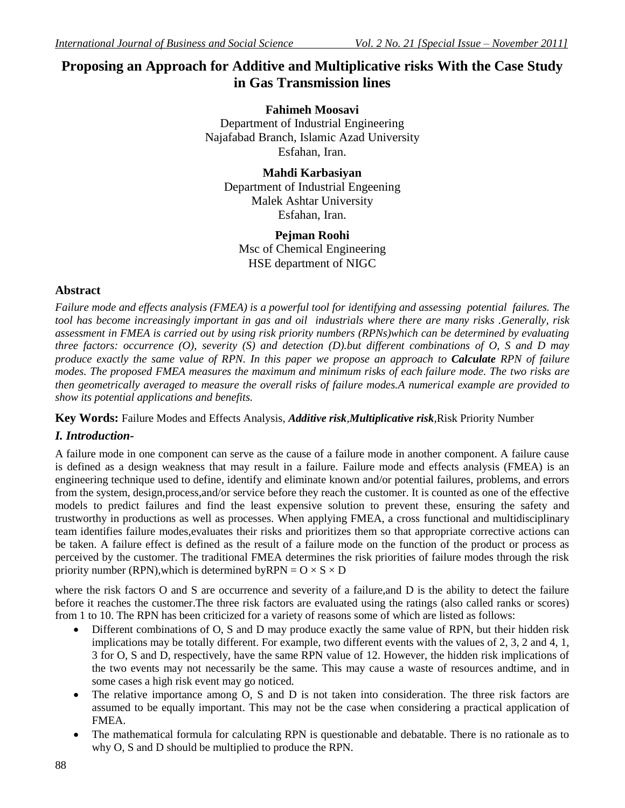# **Proposing an Approach for Additive and Multiplicative risks With the Case Study in Gas Transmission lines**

**Fahimeh Moosavi** Department of Industrial Engineering Najafabad Branch, Islamic Azad University Esfahan, Iran.

**Mahdi Karbasiyan** Department of Industrial Engeening Malek Ashtar University Esfahan, Iran.

**Pejman Roohi** Msc of Chemical Engineering HSE department of NIGC

## **Abstract**

*Failure mode and effects analysis (FMEA) is a powerful tool for identifying and assessing potential failures. The tool has become increasingly important in gas and oil industrials where there are many risks .Generally, risk assessment in FMEA is carried out by using risk priority numbers (RPNs)which can be determined by evaluating three factors: occurrence (O), severity (S) and detection (D).but different combinations of O, S and D may produce exactly the same value of RPN. In this paper we propose an approach to Calculate RPN of failure modes. The proposed FMEA measures the maximum and minimum risks of each failure mode. The two risks are then geometrically averaged to measure the overall risks of failure modes.A numerical example are provided to show its potential applications and benefits.*

**Key Words:** Failure Modes and Effects Analysis, *Additive risk*,*Multiplicative risk*,Risk Priority Number

## *I. Introduction-*

A failure mode in one component can serve as the cause of a failure mode in another component. A failure cause is defined as a design weakness that may result in a failure. Failure mode and effects analysis (FMEA) is an engineering technique used to define, identify and eliminate known and/or potential failures, problems, and errors from the system, design,process,and/or service before they reach the customer. It is counted as one of the effective models to predict failures and find the least expensive solution to prevent these, ensuring the safety and trustworthy in productions as well as processes. When applying FMEA, a cross functional and multidisciplinary team identifies failure modes,evaluates their risks and prioritizes them so that appropriate corrective actions can be taken. A failure effect is defined as the result of a failure mode on the function of the product or process as perceived by the customer. The traditional FMEA determines the risk priorities of failure modes through the risk priority number (RPN), which is determined by RPN =  $O \times S \times D$ 

where the risk factors O and S are occurrence and severity of a failure, and D is the ability to detect the failure before it reaches the customer.The three risk factors are evaluated using the ratings (also called ranks or scores) from 1 to 10. The RPN has been criticized for a variety of reasons some of which are listed as follows:

- Different combinations of O, S and D may produce exactly the same value of RPN, but their hidden risk implications may be totally different. For example, two different events with the values of 2, 3, 2 and 4, 1, 3 for O, S and D, respectively, have the same RPN value of 12. However, the hidden risk implications of the two events may not necessarily be the same. This may cause a waste of resources andtime, and in some cases a high risk event may go noticed.
- The relative importance among O, S and D is not taken into consideration. The three risk factors are assumed to be equally important. This may not be the case when considering a practical application of FMEA.
- The mathematical formula for calculating RPN is questionable and debatable. There is no rationale as to why O, S and D should be multiplied to produce the RPN.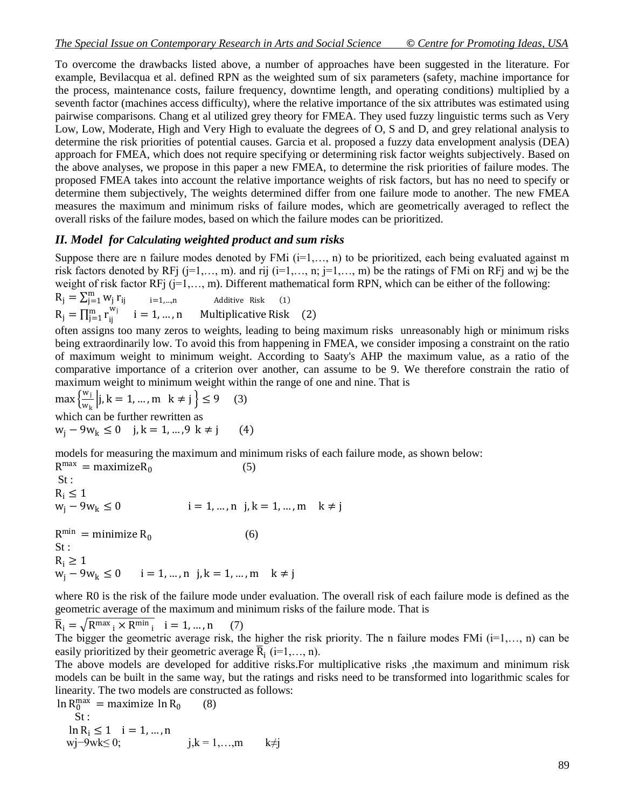To overcome the drawbacks listed above, a number of approaches have been suggested in the literature. For example, Bevilacqua et al. defined RPN as the weighted sum of six parameters (safety, machine importance for the process, maintenance costs, failure frequency, downtime length, and operating conditions) multiplied by a seventh factor (machines access difficulty), where the relative importance of the six attributes was estimated using pairwise comparisons. Chang et al utilized grey theory for FMEA. They used fuzzy linguistic terms such as Very Low, Low, Moderate, High and Very High to evaluate the degrees of O, S and D, and grey relational analysis to determine the risk priorities of potential causes. Garcia et al. proposed a fuzzy data envelopment analysis (DEA) approach for FMEA, which does not require specifying or determining risk factor weights subjectively. Based on the above analyses, we propose in this paper a new FMEA, to determine the risk priorities of failure modes. The proposed FMEA takes into account the relative importance weights of risk factors, but has no need to specify or determine them subjectively, The weights determined differ from one failure mode to another. The new FMEA measures the maximum and minimum risks of failure modes, which are geometrically averaged to reflect the overall risks of the failure modes, based on which the failure modes can be prioritized.

#### *II. Model for Calculating weighted product and sum risks*

Suppose there are n failure modes denoted by FMi  $(i=1,..., n)$  to be prioritized, each being evaluated against m risk factors denoted by RFj (j=1,…, m). and rij (i=1,…, n; j=1,…, m) be the ratings of FMi on RFj and wj be the weight of risk factor RFj  $(j=1,..., m)$ . Different mathematical form RPN, which can be either of the following: m

$$
R_j = \sum_{j=1}^{m} w_j r_{ij}
$$
  
\n
$$
R_j = \prod_{j=1}^{m} r_{ij}^{w_j}
$$
  
\n
$$
i = 1, ..., n
$$
  
\nMultiplicative Risk (1)  
\n
$$
Multiplicative Risk (2)
$$

often assigns too many zeros to weights, leading to being maximum risks unreasonably high or minimum risks being extraordinarily low. To avoid this from happening in FMEA, we consider imposing a constraint on the ratio of maximum weight to minimum weight. According to Saaty's AHP the maximum value, as a ratio of the comparative importance of a criterion over another, can assume to be 9. We therefore constrain the ratio of maximum weight to minimum weight within the range of one and nine. That is

 $\max\left\{\frac{w_j}{w_j}\right\}$  $\frac{W_1}{W_k}$  | j, k = 1, ..., m k  $\neq j$  }  $\leq 9$  (3) which can be further rewritten as  $w_i - 9w_k \le 0$  j, k = 1, ...,9 k ≠ j (4)

models for measuring the maximum and minimum risks of each failure mode, as shown below:  $R^{max} = maximize R_0$ (5)

St :  $R_i \le 1$ <br> $w_j - 9w_k \le 0$  $i = 1, ..., n$  j,  $k = 1, ..., m$  k ≠ j  $R^{\min} = \text{minimize } R_0$  (6) St :  $R_i \geq 1$  $w_i - 9w_k \le 0$  i = 1, ..., n j, k = 1, ..., m k ≠ j

where R0 is the risk of the failure mode under evaluation. The overall risk of each failure mode is defined as the geometric average of the maximum and minimum risks of the failure mode. That is

 $\overline{R}_i = \sqrt{R^{max}_{i} \times R^{min}_{i}}$   $i = 1, ..., n$  (7)

The bigger the geometric average risk, the higher the risk priority. The n failure modes FMi  $(i=1,..., n)$  can be easily prioritized by their geometric average  $\overline{R}_i$  (i=1,..., n).

The above models are developed for additive risks.For multiplicative risks ,the maximum and minimum risk models can be built in the same way, but the ratings and risks need to be transformed into logarithmic scales for linearity. The two models are constructed as follows:

 $\ln R_0^{\text{max}} = \text{maximize } \ln R_0$  (8) St :  $\ln R_i \leq 1$  i = 1, ..., n wj−9wk≤ 0; j,k = 1,...,m k≠j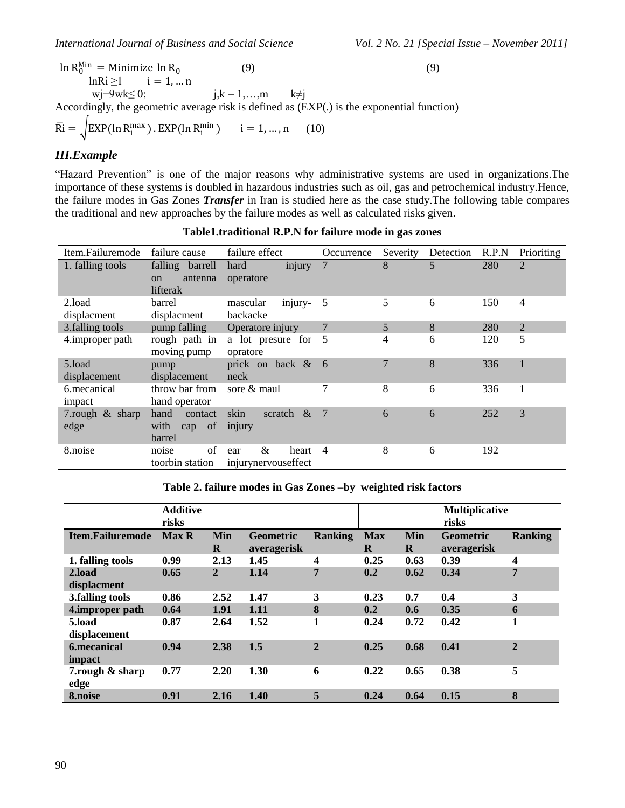$\ln R_0^{\text{Min}} =$  Minimize  $\ln R_0$  $(9)$  (9)  $ln Ri \ge 1$  i = 1, ... n wj−9wk≤ 0; j,k = 1,…,m k≠j Accordingly, the geometric average risk is defined as (EXP(.) is the exponential function)

$$
\overline{\text{Ri}} = \sqrt{\text{EXP}(\ln \text{R}_i^{\text{max}}) \cdot \text{EXP}(\ln \text{R}_i^{\text{min}})} \qquad i = 1, ..., n \qquad (10)
$$

### *III.Example*

"Hazard Prevention" is one of the major reasons why administrative systems are used in organizations.The importance of these systems is doubled in hazardous industries such as oil, gas and petrochemical industry.Hence, the failure modes in Gas Zones *Transfer* in Iran is studied here as the case study.The following table compares the traditional and new approaches by the failure modes as well as calculated risks given.

| Item.Failuremode        | failure cause                                           | failure effect                           | Occurrence | Severity | Detection | R.P.N | Prioriting     |
|-------------------------|---------------------------------------------------------|------------------------------------------|------------|----------|-----------|-------|----------------|
| 1. falling tools        | falling barrell<br>antenna<br><sub>on</sub><br>lifterak | injury<br>hard<br>operatore              | 7          | 8        | 5         | 280   | 2              |
| 2.load<br>displacment   | barrel<br>displacment                                   | injury-<br>mascular<br>backacke          | 5          | 5        | 6         | 150   | 4              |
| 3. falling tools        | pump falling                                            | Operatore injury                         | 7          | 5        | 8         | 280   | $\overline{2}$ |
| 4.improper path         | rough path in<br>moving pump                            | a lot presure for 5<br>opratore          |            | 4        | 6         | 120   | 5              |
| 5.load<br>displacement  | pump<br>displacement                                    | prick on back &<br>neck                  | - 6        | 7        | 8         | 336   |                |
| 6. mecanical<br>impact  | throw bar from<br>hand operator                         | sore $\&$ maul                           |            | 8        | 6         | 336   | -1             |
| 7.rough & sharp<br>edge | hand<br>contact<br>with<br>cap of<br>barrel             | skin<br>scratch<br>$\alpha$<br>injury    | - 7        | 6        | 6         | 252   | 3              |
| 8.noise                 | of<br>noise<br>toorbin station                          | &<br>heart<br>ear<br>injurynervouseffect | 4          | 8        | 6         | 192   |                |

#### **Table1.traditional R.P.N for failure mode in gas zones**

#### **Table 2. failure modes in Gas Zones –by weighted risk factors**

|                         | <b>Additive</b><br>risks |                 |                                 |                | <b>Multiplicative</b><br>risks |                 |                                 |                |
|-------------------------|--------------------------|-----------------|---------------------------------|----------------|--------------------------------|-----------------|---------------------------------|----------------|
| <b>Item.Failuremode</b> | <b>Max R</b>             | Min<br>$\bf{R}$ | <b>Geometric</b><br>averagerisk | <b>Ranking</b> | <b>Max</b><br>$\bf{R}$         | Min<br>$\bf{R}$ | <b>Geometric</b><br>averagerisk | <b>Ranking</b> |
| 1. falling tools        | 0.99                     | 2.13            | 1.45                            | 4              | 0.25                           | 0.63            | 0.39                            | 4              |
| 2.load                  | 0.65                     | $\overline{2}$  | 1.14                            | $\overline{7}$ | 0.2                            | 0.62            | 0.34                            | $\overline{7}$ |
| displacment             |                          |                 |                                 |                |                                |                 |                                 |                |
| 3. falling tools        | 0.86                     | 2.52            | 1.47                            | 3              | 0.23                           | 0.7             | 0.4                             | 3              |
| 4.improper path         | 0.64                     | 1.91            | 1.11                            | 8              | 0.2                            | 0.6             | 0.35                            | 6              |
| 5.load                  | 0.87                     | 2.64            | 1.52                            | 1              | 0.24                           | 0.72            | 0.42                            | 1              |
| displacement            |                          |                 |                                 |                |                                |                 |                                 |                |
| <b>6.mecanical</b>      | 0.94                     | 2.38            | 1.5                             | $\overline{2}$ | 0.25                           | 0.68            | 0.41                            | $\overline{2}$ |
| impact                  |                          |                 |                                 |                |                                |                 |                                 |                |
| 7.rough & sharp<br>edge | 0.77                     | 2.20            | 1.30                            | 6              | 0.22                           | 0.65            | 0.38                            | 5              |
| 8.noise                 | 0.91                     | 2.16            | 1.40                            | 5              | 0.24                           | 0.64            | 0.15                            | 8              |